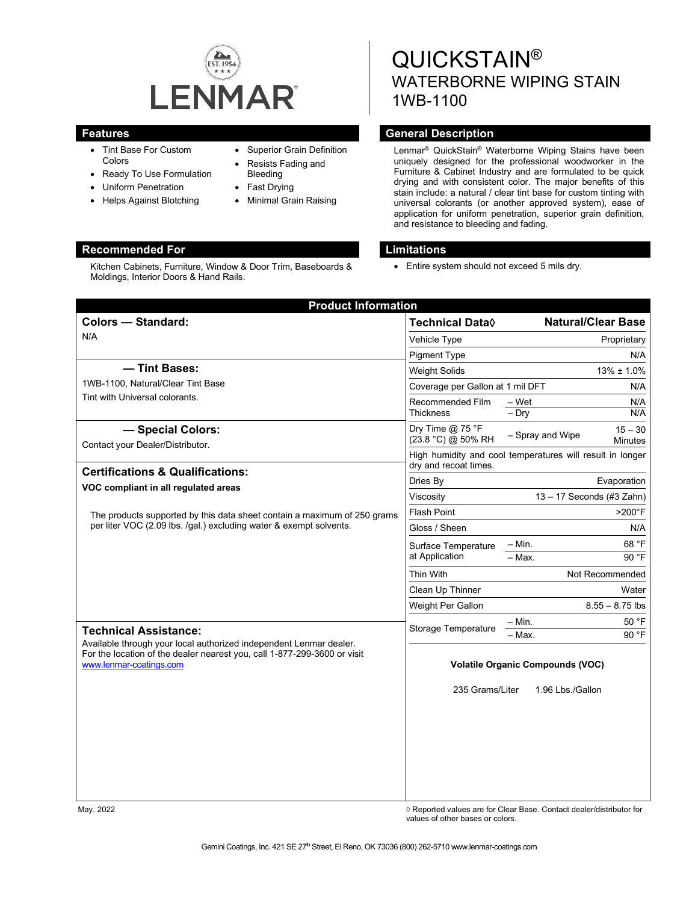

Kitchen Cabinets, Furniture, Window & Door Trim, Baseboards &

- Tint Base For Custom Colors
- Ready To Use Formulation

Moldings, Interior Doors & Hand Rails.

- Uniform Penetration
- Helps Against Blotching

# • Superior Grain Definition

- Resists Fading and Bleeding
- Fast Drying
- Minimal Grain Raising

# QUICKSTAIN® WATERBORNE WIPING STAIN 1WB-1100

# **Features General Description**

Lenmar® QuickStain® Waterborne Wiping Stains have been uniquely designed for the professional woodworker in the Furniture & Cabinet Industry and are formulated to be quick drying and with consistent color. The major benefits of this stain include: a natural / clear tint base for custom tinting with universal colorants (or another approved system), ease of application for uniform penetration, superior grain definition, and resistance to bleeding and fading.

# **Recommended For Limitations**

• Entire system should not exceed 5 mils dry.

| <b>Product Information</b>                                                                                                                                                |                                                                                    |                           |                             |  |
|---------------------------------------------------------------------------------------------------------------------------------------------------------------------------|------------------------------------------------------------------------------------|---------------------------|-----------------------------|--|
| <b>Colors - Standard:</b>                                                                                                                                                 | <b>Technical Data</b> ♦                                                            |                           | <b>Natural/Clear Base</b>   |  |
| N/A                                                                                                                                                                       | Vehicle Type                                                                       |                           | Proprietary                 |  |
|                                                                                                                                                                           | <b>Pigment Type</b>                                                                |                           | N/A                         |  |
| - Tint Bases:                                                                                                                                                             | <b>Weight Solids</b>                                                               |                           | $13\% \pm 1.0\%$            |  |
| 1WB-1100, Natural/Clear Tint Base<br>Tint with Universal colorants.                                                                                                       | Coverage per Gallon at 1 mil DFT<br>N/A                                            |                           |                             |  |
|                                                                                                                                                                           | Recommended Film<br><b>Thickness</b>                                               | $-Wet$<br>$-$ Dry         | N/A<br>N/A                  |  |
| - Special Colors:                                                                                                                                                         | Dry Time $@$ 75 °F<br>(23.8 °C) @ 50% RH                                           | - Spray and Wipe          | $15 - 30$<br><b>Minutes</b> |  |
| Contact your Dealer/Distributor.                                                                                                                                          | High humidity and cool temperatures will result in longer<br>dry and recoat times. |                           |                             |  |
| <b>Certifications &amp; Qualifications:</b><br>VOC compliant in all regulated areas                                                                                       | Dries By                                                                           | Evaporation               |                             |  |
|                                                                                                                                                                           | Viscosity                                                                          | 13 - 17 Seconds (#3 Zahn) |                             |  |
| The products supported by this data sheet contain a maximum of 250 grams<br>per liter VOC (2.09 lbs. /gal.) excluding water & exempt solvents.                            | <b>Flash Point</b>                                                                 | $>200^\circ F$            |                             |  |
|                                                                                                                                                                           | Gloss / Sheen                                                                      | N/A                       |                             |  |
|                                                                                                                                                                           | Surface Temperature<br>at Application                                              | – Min.                    | 68 °F<br>90 °F              |  |
|                                                                                                                                                                           |                                                                                    | $-$ Max.                  |                             |  |
|                                                                                                                                                                           | Thin With                                                                          | Not Recommended           |                             |  |
|                                                                                                                                                                           | Clean Up Thinner                                                                   |                           | Water                       |  |
|                                                                                                                                                                           | Weight Per Gallon                                                                  |                           | $8.55 - 8.75$ lbs           |  |
| <b>Technical Assistance:</b>                                                                                                                                              | Storage Temperature                                                                | - Min.<br>- Max.          | 50 °F<br>90 °F              |  |
| Available through your local authorized independent Lenmar dealer.<br>For the location of the dealer nearest you, call 1-877-299-3600 or visit<br>www.lenmar-coatings.com | <b>Volatile Organic Compounds (VOC)</b><br>235 Grams/Liter<br>1.96 Lbs./Gallon     |                           |                             |  |

May. 2022 *May. 2022* 2022 *Reported values are for Clear Base. Contact dealer/distributor for* values of other bases or colors.